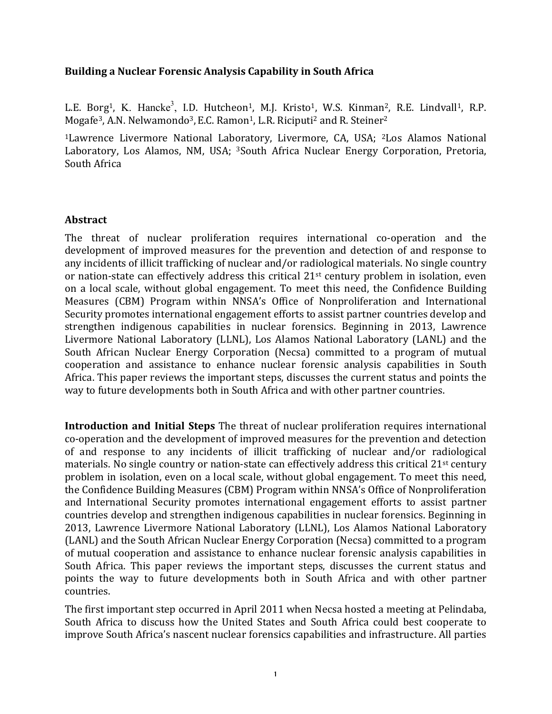## **Building a Nuclear Forensic Analysis Capability in South Africa**

L.E. Borg<sup>1</sup>, K. Hancke<sup>3</sup>, I.D. Hutcheon<sup>1</sup>, M.J. Kristo<sup>1</sup>, W.S. Kinman<sup>2</sup>, R.E. Lindvall<sup>1</sup>, R.P. Mogafe<sup>3</sup>, A.N. Nelwamondo<sup>3</sup>, E.C. Ramon<sup>1</sup>, L.R. Riciputi<sup>2</sup> and R. Steiner<sup>2</sup>

<sup>1</sup>Lawrence Livermore National Laboratory, Livermore, CA, USA; <sup>2</sup>Los Alamos National Laboratory, Los Alamos, NM, USA; <sup>3</sup>South Africa Nuclear Energy Corporation, Pretoria, South Africa

## **Abstract**

The threat of nuclear proliferation requires international co-operation and the development of improved measures for the prevention and detection of and response to any incidents of illicit trafficking of nuclear and/or radiological materials. No single country or nation-state can effectively address this critical 21<sup>st</sup> century problem in isolation, even on a local scale, without global engagement. To meet this need, the Confidence Building Measures (CBM) Program within NNSA's Office of Nonproliferation and International Security promotes international engagement efforts to assist partner countries develop and strengthen indigenous capabilities in nuclear forensics. Beginning in 2013, Lawrence Livermore National Laboratory (LLNL), Los Alamos National Laboratory (LANL) and the South African Nuclear Energy Corporation (Necsa) committed to a program of mutual cooperation and assistance to enhance nuclear forensic analysis capabilities in South Africa. This paper reviews the important steps, discusses the current status and points the way to future developments both in South Africa and with other partner countries.

**Introduction and Initial Steps** The threat of nuclear proliferation requires international co-operation and the development of improved measures for the prevention and detection of and response to any incidents of illicit trafficking of nuclear and/or radiological materials. No single country or nation-state can effectively address this critical  $21^{st}$  century problem in isolation, even on a local scale, without global engagement. To meet this need, the Confidence Building Measures (CBM) Program within NNSA's Office of Nonproliferation and International Security promotes international engagement efforts to assist partner countries develop and strengthen indigenous capabilities in nuclear forensics. Beginning in 2013, Lawrence Livermore National Laboratory (LLNL), Los Alamos National Laboratory (LANL) and the South African Nuclear Energy Corporation (Necsa) committed to a program of mutual cooperation and assistance to enhance nuclear forensic analysis capabilities in South Africa. This paper reviews the important steps, discusses the current status and points the way to future developments both in South Africa and with other partner countries.

The first important step occurred in April 2011 when Necsa hosted a meeting at Pelindaba, South Africa to discuss how the United States and South Africa could best cooperate to improve South Africa's nascent nuclear forensics capabilities and infrastructure. All parties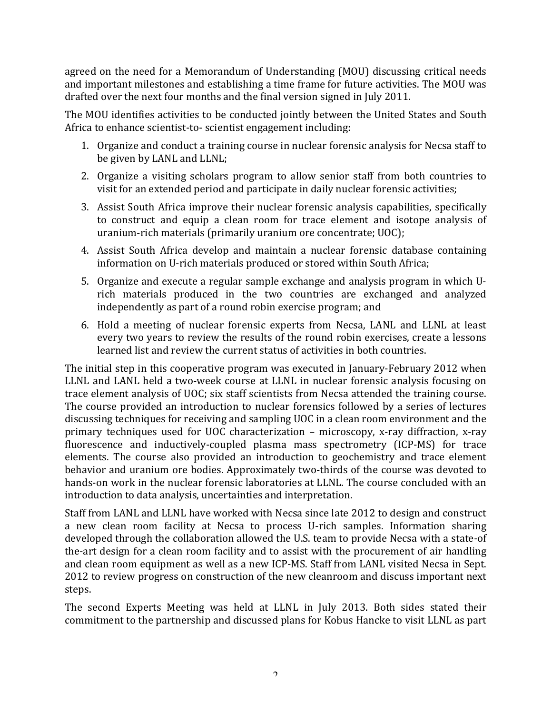agreed on the need for a Memorandum of Understanding (MOU) discussing critical needs and important milestones and establishing a time frame for future activities. The MOU was drafted over the next four months and the final version signed in July 2011.

The MOU identifies activities to be conducted jointly between the United States and South Africa to enhance scientist-to- scientist engagement including:

- 1. Organize and conduct a training course in nuclear forensic analysis for Necsa staff to be given by LANL and LLNL;
- 2. Organize a visiting scholars program to allow senior staff from both countries to visit for an extended period and participate in daily nuclear forensic activities;
- 3. Assist South Africa improve their nuclear forensic analysis capabilities, specifically to construct and equip a clean room for trace element and isotope analysis of uranium-rich materials (primarily uranium ore concentrate; UOC);
- 4. Assist South Africa develop and maintain a nuclear forensic database containing information on U-rich materials produced or stored within South Africa;
- 5. Organize and execute a regular sample exchange and analysis program in which Urich materials produced in the two countries are exchanged and analyzed independently as part of a round robin exercise program; and
- 6. Hold a meeting of nuclear forensic experts from Necsa, LANL and LLNL at least every two vears to review the results of the round robin exercises, create a lessons learned list and review the current status of activities in both countries.

The initial step in this cooperative program was executed in January-February 2012 when LLNL and LANL held a two-week course at LLNL in nuclear forensic analysis focusing on trace element analysis of UOC; six staff scientists from Necsa attended the training course. The course provided an introduction to nuclear forensics followed by a series of lectures discussing techniques for receiving and sampling UOC in a clean room environment and the primary techniques used for UOC characterization – microscopy, x-ray diffraction, x-ray fluorescence and inductively-coupled plasma mass spectrometry (ICP-MS) for trace elements. The course also provided an introduction to geochemistry and trace element behavior and uranium ore bodies. Approximately two-thirds of the course was devoted to hands-on work in the nuclear forensic laboratories at LLNL. The course concluded with an introduction to data analysis, uncertainties and interpretation.

Staff from LANL and LLNL have worked with Necsa since late 2012 to design and construct a new clean room facility at Necsa to process U-rich samples. Information sharing developed through the collaboration allowed the U.S. team to provide Necsa with a state-of the-art design for a clean room facility and to assist with the procurement of air handling and clean room equipment as well as a new ICP-MS. Staff from LANL visited Necsa in Sept. 2012 to review progress on construction of the new cleanroom and discuss important next steps.

The second Experts Meeting was held at LLNL in July 2013. Both sides stated their commitment to the partnership and discussed plans for Kobus Hancke to visit LLNL as part